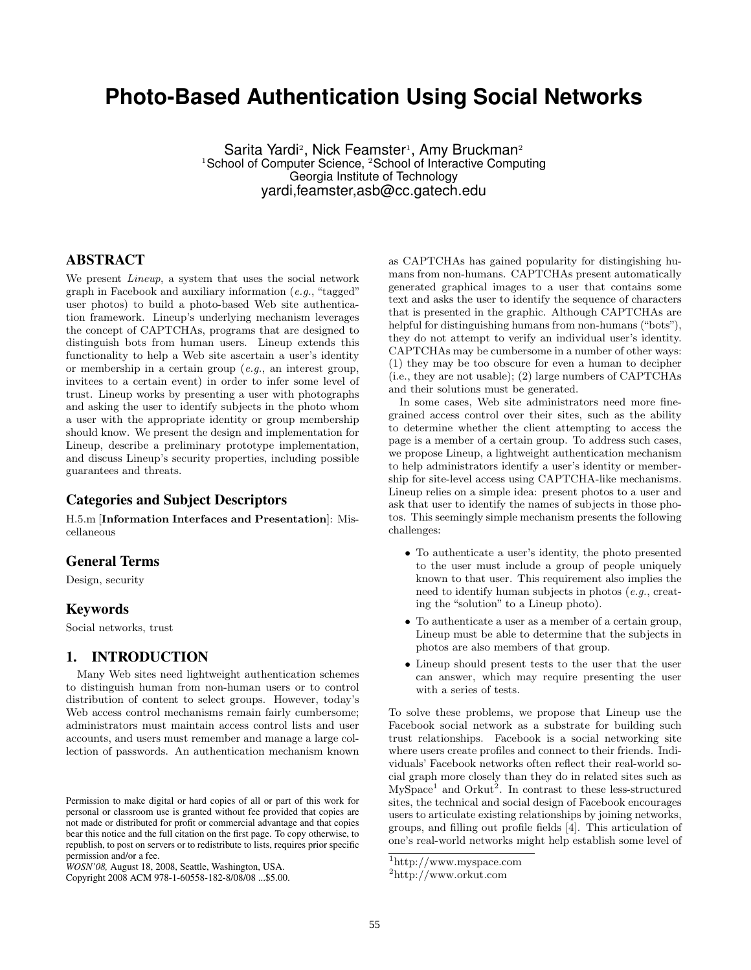# **Photo-Based Authentication Using Social Networks**

Sarita Yardi<sup>2</sup>, Nick Feamster<sup>1</sup>, Amy Bruckman<sup>2</sup> <sup>1</sup>School of Computer Science, <sup>2</sup>School of Interactive Computing Georgia Institute of Technology yardi,feamster,asb@cc.gatech.edu

## ABSTRACT

We present Lineup, a system that uses the social network graph in Facebook and auxiliary information (e.g., "tagged" user photos) to build a photo-based Web site authentication framework. Lineup's underlying mechanism leverages the concept of CAPTCHAs, programs that are designed to distinguish bots from human users. Lineup extends this functionality to help a Web site ascertain a user's identity or membership in a certain group  $(e.q.,)$  an interest group, invitees to a certain event) in order to infer some level of trust. Lineup works by presenting a user with photographs and asking the user to identify subjects in the photo whom a user with the appropriate identity or group membership should know. We present the design and implementation for Lineup, describe a preliminary prototype implementation, and discuss Lineup's security properties, including possible guarantees and threats.

#### Categories and Subject Descriptors

H.5.m [Information Interfaces and Presentation]: Miscellaneous

#### General Terms

Design, security

## Keywords

Social networks, trust

## 1. INTRODUCTION

Many Web sites need lightweight authentication schemes to distinguish human from non-human users or to control distribution of content to select groups. However, today's Web access control mechanisms remain fairly cumbersome; administrators must maintain access control lists and user accounts, and users must remember and manage a large collection of passwords. An authentication mechanism known as CAPTCHAs has gained popularity for distingishing humans from non-humans. CAPTCHAs present automatically generated graphical images to a user that contains some text and asks the user to identify the sequence of characters that is presented in the graphic. Although CAPTCHAs are helpful for distinguishing humans from non-humans ("bots"), they do not attempt to verify an individual user's identity. CAPTCHAs may be cumbersome in a number of other ways: (1) they may be too obscure for even a human to decipher (i.e., they are not usable); (2) large numbers of CAPTCHAs and their solutions must be generated.

In some cases, Web site administrators need more finegrained access control over their sites, such as the ability to determine whether the client attempting to access the page is a member of a certain group. To address such cases, we propose Lineup, a lightweight authentication mechanism to help administrators identify a user's identity or membership for site-level access using CAPTCHA-like mechanisms. Lineup relies on a simple idea: present photos to a user and ask that user to identify the names of subjects in those photos. This seemingly simple mechanism presents the following challenges:

- To authenticate a user's identity, the photo presented to the user must include a group of people uniquely known to that user. This requirement also implies the need to identify human subjects in photos (e.g., creating the "solution" to a Lineup photo).
- To authenticate a user as a member of a certain group, Lineup must be able to determine that the subjects in photos are also members of that group.
- Lineup should present tests to the user that the user can answer, which may require presenting the user with a series of tests.

To solve these problems, we propose that Lineup use the Facebook social network as a substrate for building such trust relationships. Facebook is a social networking site where users create profiles and connect to their friends. Individuals' Facebook networks often reflect their real-world social graph more closely than they do in related sites such as  $MySpace<sup>1</sup>$  and Orkut<sup>2</sup>. In contrast to these less-structured sites, the technical and social design of Facebook encourages users to articulate existing relationships by joining networks, groups, and filling out profile fields [4]. This articulation of one's real-world networks might help establish some level of

Permission to make digital or hard copies of all or part of this work for personal or classroom use is granted without fee provided that copies are not made or distributed for profit or commercial advantage and that copies bear this notice and the full citation on the first page. To copy otherwise, to republish, to post on servers or to redistribute to lists, requires prior specific permission and/or a fee.

*WOSN'08,* August 18, 2008, Seattle, Washington, USA.

Copyright 2008 ACM 978-1-60558-182-8/08/08 ...\$5.00.

<sup>1</sup>http://www.myspace.com

 $^{2}$ http://www.orkut.com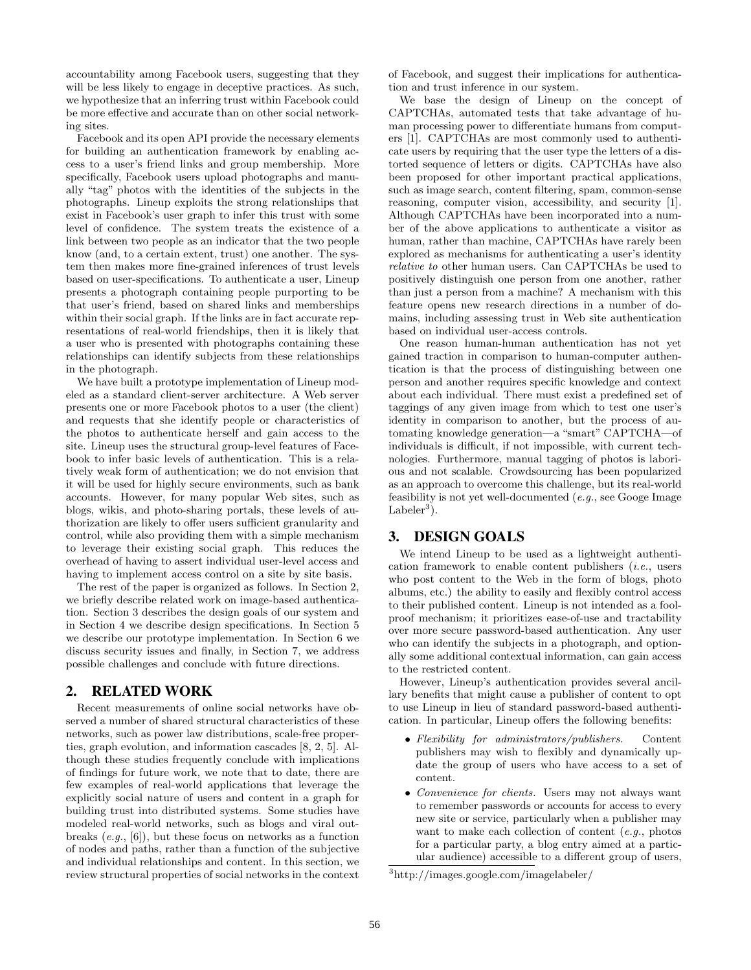accountability among Facebook users, suggesting that they will be less likely to engage in deceptive practices. As such, we hypothesize that an inferring trust within Facebook could be more effective and accurate than on other social networking sites.

Facebook and its open API provide the necessary elements for building an authentication framework by enabling access to a user's friend links and group membership. More specifically, Facebook users upload photographs and manually "tag" photos with the identities of the subjects in the photographs. Lineup exploits the strong relationships that exist in Facebook's user graph to infer this trust with some level of confidence. The system treats the existence of a link between two people as an indicator that the two people know (and, to a certain extent, trust) one another. The system then makes more fine-grained inferences of trust levels based on user-specifications. To authenticate a user, Lineup presents a photograph containing people purporting to be that user's friend, based on shared links and memberships within their social graph. If the links are in fact accurate representations of real-world friendships, then it is likely that a user who is presented with photographs containing these relationships can identify subjects from these relationships in the photograph.

We have built a prototype implementation of Lineup modeled as a standard client-server architecture. A Web server presents one or more Facebook photos to a user (the client) and requests that she identify people or characteristics of the photos to authenticate herself and gain access to the site. Lineup uses the structural group-level features of Facebook to infer basic levels of authentication. This is a relatively weak form of authentication; we do not envision that it will be used for highly secure environments, such as bank accounts. However, for many popular Web sites, such as blogs, wikis, and photo-sharing portals, these levels of authorization are likely to offer users sufficient granularity and control, while also providing them with a simple mechanism to leverage their existing social graph. This reduces the overhead of having to assert individual user-level access and having to implement access control on a site by site basis.

The rest of the paper is organized as follows. In Section 2, we briefly describe related work on image-based authentication. Section 3 describes the design goals of our system and in Section 4 we describe design specifications. In Section 5 we describe our prototype implementation. In Section 6 we discuss security issues and finally, in Section 7, we address possible challenges and conclude with future directions.

#### 2. RELATED WORK

Recent measurements of online social networks have observed a number of shared structural characteristics of these networks, such as power law distributions, scale-free properties, graph evolution, and information cascades [8, 2, 5]. Although these studies frequently conclude with implications of findings for future work, we note that to date, there are few examples of real-world applications that leverage the explicitly social nature of users and content in a graph for building trust into distributed systems. Some studies have modeled real-world networks, such as blogs and viral outbreaks  $(e.g., [6])$ , but these focus on networks as a function of nodes and paths, rather than a function of the subjective and individual relationships and content. In this section, we review structural properties of social networks in the context

of Facebook, and suggest their implications for authentication and trust inference in our system.

We base the design of Lineup on the concept of CAPTCHAs, automated tests that take advantage of human processing power to differentiate humans from computers [1]. CAPTCHAs are most commonly used to authenticate users by requiring that the user type the letters of a distorted sequence of letters or digits. CAPTCHAs have also been proposed for other important practical applications, such as image search, content filtering, spam, common-sense reasoning, computer vision, accessibility, and security [1]. Although CAPTCHAs have been incorporated into a number of the above applications to authenticate a visitor as human, rather than machine, CAPTCHAs have rarely been explored as mechanisms for authenticating a user's identity relative to other human users. Can CAPTCHAs be used to positively distinguish one person from one another, rather than just a person from a machine? A mechanism with this feature opens new research directions in a number of domains, including assessing trust in Web site authentication based on individual user-access controls.

One reason human-human authentication has not yet gained traction in comparison to human-computer authentication is that the process of distinguishing between one person and another requires specific knowledge and context about each individual. There must exist a predefined set of taggings of any given image from which to test one user's identity in comparison to another, but the process of automating knowledge generation—a "smart" CAPTCHA—of individuals is difficult, if not impossible, with current technologies. Furthermore, manual tagging of photos is laborious and not scalable. Crowdsourcing has been popularized as an approach to overcome this challenge, but its real-world feasibility is not yet well-documented (e.g., see Googe Image Labeler<sup>3</sup>).

## 3. DESIGN GOALS

We intend Lineup to be used as a lightweight authentication framework to enable content publishers  $(i.e.,$  users who post content to the Web in the form of blogs, photo albums, etc.) the ability to easily and flexibly control access to their published content. Lineup is not intended as a foolproof mechanism; it prioritizes ease-of-use and tractability over more secure password-based authentication. Any user who can identify the subjects in a photograph, and optionally some additional contextual information, can gain access to the restricted content.

However, Lineup's authentication provides several ancillary benefits that might cause a publisher of content to opt to use Lineup in lieu of standard password-based authentication. In particular, Lineup offers the following benefits:

- Flexibility for administrators/publishers. Content publishers may wish to flexibly and dynamically update the group of users who have access to a set of content.
- Convenience for clients. Users may not always want to remember passwords or accounts for access to every new site or service, particularly when a publisher may want to make each collection of content  $(e.g.,$  photos for a particular party, a blog entry aimed at a particular audience) accessible to a different group of users,

<sup>3</sup>http://images.google.com/imagelabeler/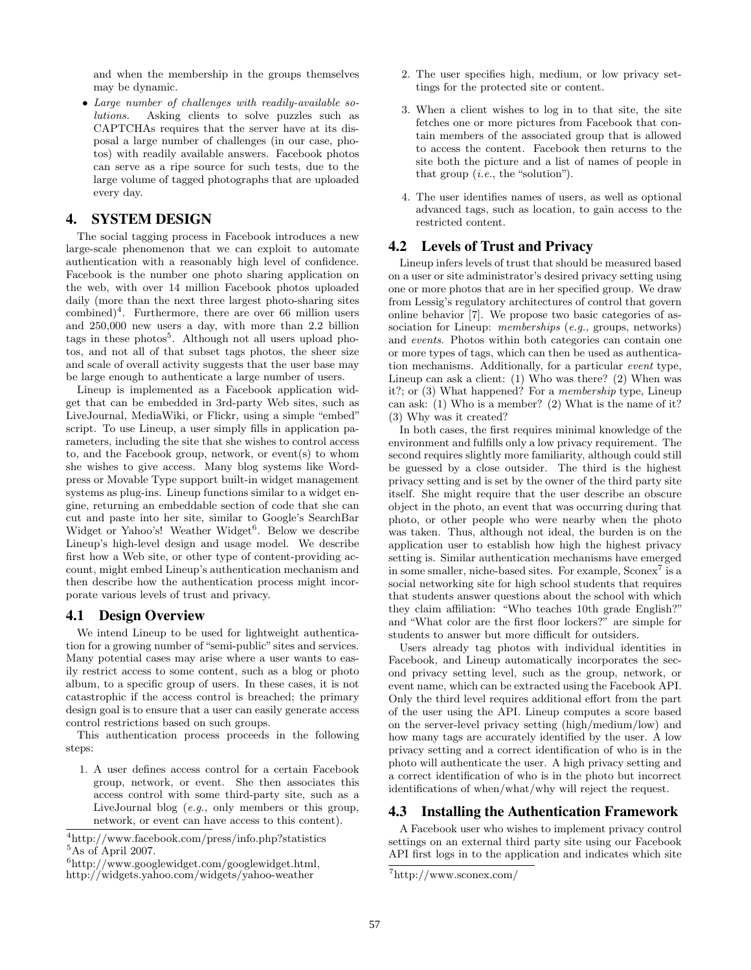and when the membership in the groups themselves may be dynamic.

• Large number of challenges with readily-available solutions. Asking clients to solve puzzles such as CAPTCHAs requires that the server have at its disposal a large number of challenges (in our case, photos) with readily available answers. Facebook photos can serve as a ripe source for such tests, due to the large volume of tagged photographs that are uploaded every day.

## 4. SYSTEM DESIGN

The social tagging process in Facebook introduces a new large-scale phenomenon that we can exploit to automate authentication with a reasonably high level of confidence. Facebook is the number one photo sharing application on the web, with over 14 million Facebook photos uploaded daily (more than the next three largest photo-sharing sites combined)<sup>4</sup>. Furthermore, there are over 66 million users and 250,000 new users a day, with more than 2.2 billion tags in these photos<sup>5</sup>. Although not all users upload photos, and not all of that subset tags photos, the sheer size and scale of overall activity suggests that the user base may be large enough to authenticate a large number of users.

Lineup is implemented as a Facebook application widget that can be embedded in 3rd-party Web sites, such as LiveJournal, MediaWiki, or Flickr, using a simple "embed" script. To use Lineup, a user simply fills in application parameters, including the site that she wishes to control access to, and the Facebook group, network, or event(s) to whom she wishes to give access. Many blog systems like Wordpress or Movable Type support built-in widget management systems as plug-ins. Lineup functions similar to a widget engine, returning an embeddable section of code that she can cut and paste into her site, similar to Google's SearchBar Widget or Yahoo's! Weather Widget<sup>6</sup>. Below we describe Lineup's high-level design and usage model. We describe first how a Web site, or other type of content-providing account, might embed Lineup's authentication mechanism and then describe how the authentication process might incorporate various levels of trust and privacy.

#### 4.1 Design Overview

We intend Lineup to be used for lightweight authentication for a growing number of "semi-public" sites and services. Many potential cases may arise where a user wants to easily restrict access to some content, such as a blog or photo album, to a specific group of users. In these cases, it is not catastrophic if the access control is breached; the primary design goal is to ensure that a user can easily generate access control restrictions based on such groups.

This authentication process proceeds in the following steps:

1. A user defines access control for a certain Facebook group, network, or event. She then associates this access control with some third-party site, such as a LiveJournal blog (e.g., only members or this group, network, or event can have access to this content).

- 2. The user specifies high, medium, or low privacy settings for the protected site or content.
- 3. When a client wishes to log in to that site, the site fetches one or more pictures from Facebook that contain members of the associated group that is allowed to access the content. Facebook then returns to the site both the picture and a list of names of people in that group (i.e., the "solution").
- 4. The user identifies names of users, as well as optional advanced tags, such as location, to gain access to the restricted content.

# 4.2 Levels of Trust and Privacy

Lineup infers levels of trust that should be measured based on a user or site administrator's desired privacy setting using one or more photos that are in her specified group. We draw from Lessig's regulatory architectures of control that govern online behavior [7]. We propose two basic categories of association for Lineup: *memberships* (e.g., groups, networks) and events. Photos within both categories can contain one or more types of tags, which can then be used as authentication mechanisms. Additionally, for a particular event type, Lineup can ask a client: (1) Who was there? (2) When was it?; or (3) What happened? For a membership type, Lineup can ask: (1) Who is a member? (2) What is the name of it? (3) Why was it created?

In both cases, the first requires minimal knowledge of the environment and fulfills only a low privacy requirement. The second requires slightly more familiarity, although could still be guessed by a close outsider. The third is the highest privacy setting and is set by the owner of the third party site itself. She might require that the user describe an obscure object in the photo, an event that was occurring during that photo, or other people who were nearby when the photo was taken. Thus, although not ideal, the burden is on the application user to establish how high the highest privacy setting is. Similar authentication mechanisms have emerged in some smaller, niche-based sites. For example, Sconex<sup>7</sup> is a social networking site for high school students that requires that students answer questions about the school with which they claim affiliation: "Who teaches 10th grade English?" and "What color are the first floor lockers?" are simple for students to answer but more difficult for outsiders.

Users already tag photos with individual identities in Facebook, and Lineup automatically incorporates the second privacy setting level, such as the group, network, or event name, which can be extracted using the Facebook API. Only the third level requires additional effort from the part of the user using the API. Lineup computes a score based on the server-level privacy setting (high/medium/low) and how many tags are accurately identified by the user. A low privacy setting and a correct identification of who is in the photo will authenticate the user. A high privacy setting and a correct identification of who is in the photo but incorrect identifications of when/what/why will reject the request.

# 4.3 Installing the Authentication Framework

A Facebook user who wishes to implement privacy control settings on an external third party site using our Facebook API first logs in to the application and indicates which site

<sup>4</sup>http://www.facebook.com/press/info.php?statistics <sup>5</sup>As of April 2007.

 $6$ http://www.googlewidget.com/googlewidget.html,

http://widgets.yahoo.com/widgets/yahoo-weather

<sup>7</sup>http://www.sconex.com/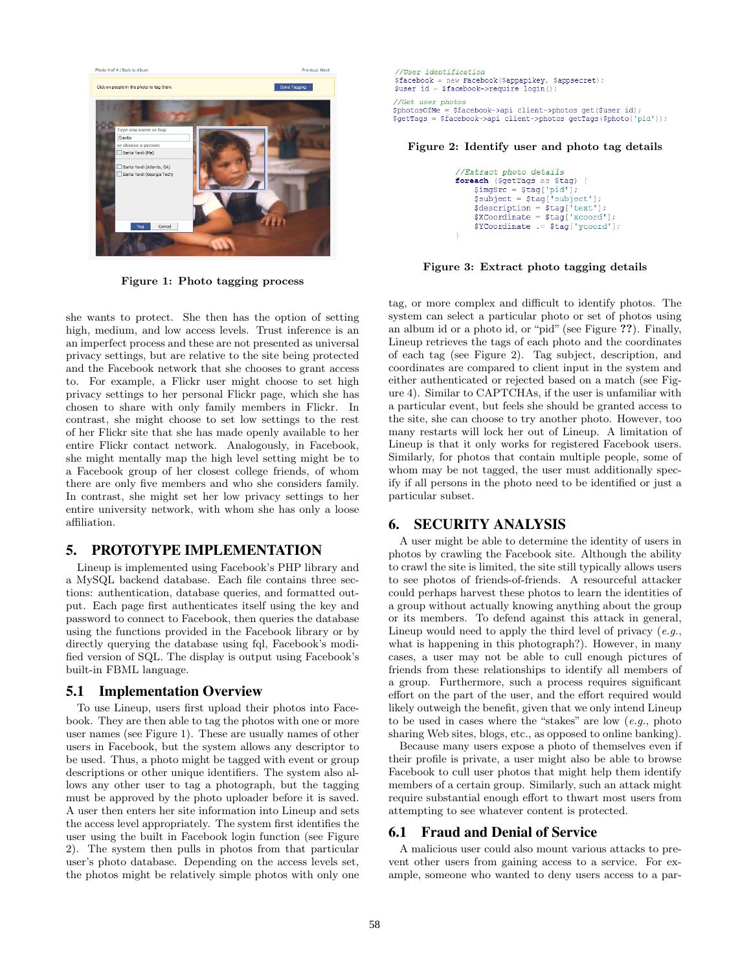

//User identification \$facebook = new Facebook(\$appapikey, \$appsecret); \$user id = \$facebook->require login(); //Get user photos \$photosOfMe = \$facebook->api client->photos get(\$user id); \$getTags = \$facebook->api client->photos getTags(\$photo['pid']);

Figure 2: Identify user and photo tag details

//Extract photo details foreach (SgetTags as \$tag) simgsrc = \$tag['pid'];<br>\$subject = \$tag['pid'];  $S$ description =  $Staaf'$ text'); \$YCoordinate .= \$tag['ycoord'];

Figure 3: Extract photo tagging details

Figure 1: Photo tagging process

she wants to protect. She then has the option of setting high, medium, and low access levels. Trust inference is an an imperfect process and these are not presented as universal privacy settings, but are relative to the site being protected and the Facebook network that she chooses to grant access to. For example, a Flickr user might choose to set high privacy settings to her personal Flickr page, which she has chosen to share with only family members in Flickr. In contrast, she might choose to set low settings to the rest of her Flickr site that she has made openly available to her entire Flickr contact network. Analogously, in Facebook, she might mentally map the high level setting might be to a Facebook group of her closest college friends, of whom there are only five members and who she considers family. In contrast, she might set her low privacy settings to her entire university network, with whom she has only a loose affiliation.

# 5. PROTOTYPE IMPLEMENTATION

Lineup is implemented using Facebook's PHP library and a MySQL backend database. Each file contains three sections: authentication, database queries, and formatted output. Each page first authenticates itself using the key and password to connect to Facebook, then queries the database using the functions provided in the Facebook library or by directly querying the database using fql, Facebook's modified version of SQL. The display is output using Facebook's built-in FBML language.

## 5.1 Implementation Overview

To use Lineup, users first upload their photos into Facebook. They are then able to tag the photos with one or more user names (see Figure 1). These are usually names of other users in Facebook, but the system allows any descriptor to be used. Thus, a photo might be tagged with event or group descriptions or other unique identifiers. The system also allows any other user to tag a photograph, but the tagging must be approved by the photo uploader before it is saved. A user then enters her site information into Lineup and sets the access level appropriately. The system first identifies the user using the built in Facebook login function (see Figure 2). The system then pulls in photos from that particular user's photo database. Depending on the access levels set, the photos might be relatively simple photos with only one

tag, or more complex and difficult to identify photos. The system can select a particular photo or set of photos using an album id or a photo id, or "pid" (see Figure ??). Finally, Lineup retrieves the tags of each photo and the coordinates of each tag (see Figure 2). Tag subject, description, and coordinates are compared to client input in the system and either authenticated or rejected based on a match (see Figure 4). Similar to CAPTCHAs, if the user is unfamiliar with a particular event, but feels she should be granted access to the site, she can choose to try another photo. However, too many restarts will lock her out of Lineup. A limitation of Lineup is that it only works for registered Facebook users. Similarly, for photos that contain multiple people, some of whom may be not tagged, the user must additionally specify if all persons in the photo need to be identified or just a particular subset.

# 6. SECURITY ANALYSIS

A user might be able to determine the identity of users in photos by crawling the Facebook site. Although the ability to crawl the site is limited, the site still typically allows users to see photos of friends-of-friends. A resourceful attacker could perhaps harvest these photos to learn the identities of a group without actually knowing anything about the group or its members. To defend against this attack in general, Lineup would need to apply the third level of privacy (e.g., what is happening in this photograph?). However, in many cases, a user may not be able to cull enough pictures of friends from these relationships to identify all members of a group. Furthermore, such a process requires significant effort on the part of the user, and the effort required would likely outweigh the benefit, given that we only intend Lineup to be used in cases where the "stakes" are low (e.g., photo sharing Web sites, blogs, etc., as opposed to online banking).

Because many users expose a photo of themselves even if their profile is private, a user might also be able to browse Facebook to cull user photos that might help them identify members of a certain group. Similarly, such an attack might require substantial enough effort to thwart most users from attempting to see whatever content is protected.

# 6.1 Fraud and Denial of Service

A malicious user could also mount various attacks to prevent other users from gaining access to a service. For example, someone who wanted to deny users access to a par-